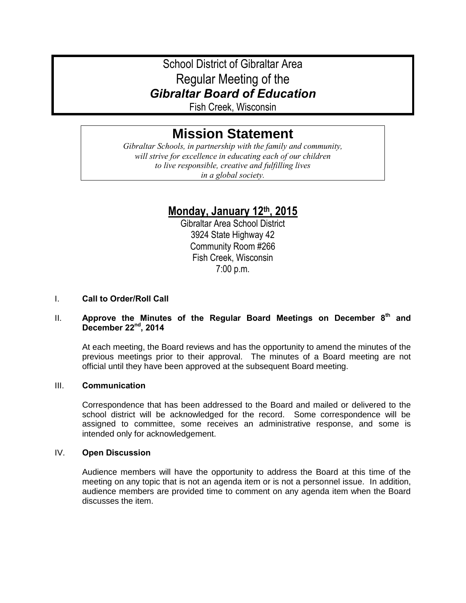# School District of Gibraltar Area Regular Meeting of the *Gibraltar Board of Education*

Fish Creek, Wisconsin

# **Mission Statement**

*Gibraltar Schools, in partnership with the family and community, will strive for excellence in educating each of our children to live responsible, creative and fulfilling lives in a global society.*

# **Monday, January 12th, 2015**

Gibraltar Area School District 3924 State Highway 42 Community Room #266 Fish Creek, Wisconsin 7:00 p.m.

# I. **Call to Order/Roll Call**

# II. **Approve the Minutes of the Regular Board Meetings on December 8th and December 22nd, 2014**

At each meeting, the Board reviews and has the opportunity to amend the minutes of the previous meetings prior to their approval. The minutes of a Board meeting are not official until they have been approved at the subsequent Board meeting.

# III. **Communication**

Correspondence that has been addressed to the Board and mailed or delivered to the school district will be acknowledged for the record. Some correspondence will be assigned to committee, some receives an administrative response, and some is intended only for acknowledgement.

# IV. **Open Discussion**

Audience members will have the opportunity to address the Board at this time of the meeting on any topic that is not an agenda item or is not a personnel issue. In addition, audience members are provided time to comment on any agenda item when the Board discusses the item.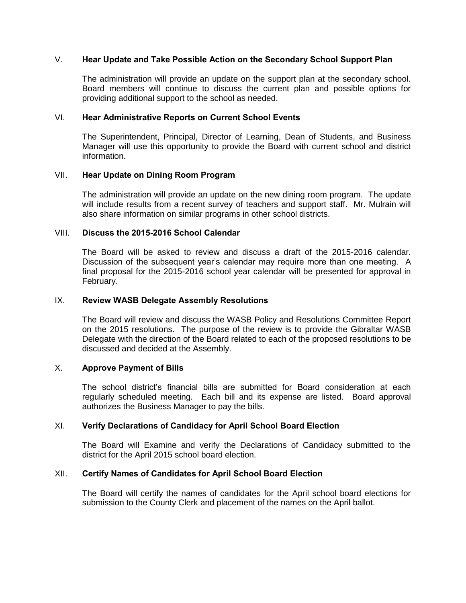#### V. **Hear Update and Take Possible Action on the Secondary School Support Plan**

The administration will provide an update on the support plan at the secondary school. Board members will continue to discuss the current plan and possible options for providing additional support to the school as needed.

#### VI. **Hear Administrative Reports on Current School Events**

The Superintendent, Principal, Director of Learning, Dean of Students, and Business Manager will use this opportunity to provide the Board with current school and district information.

#### VII. **Hear Update on Dining Room Program**

The administration will provide an update on the new dining room program. The update will include results from a recent survey of teachers and support staff. Mr. Mulrain will also share information on similar programs in other school districts.

#### VIII. **Discuss the 2015-2016 School Calendar**

The Board will be asked to review and discuss a draft of the 2015-2016 calendar. Discussion of the subsequent year's calendar may require more than one meeting. A final proposal for the 2015-2016 school year calendar will be presented for approval in February.

#### IX. **Review WASB Delegate Assembly Resolutions**

The Board will review and discuss the WASB Policy and Resolutions Committee Report on the 2015 resolutions. The purpose of the review is to provide the Gibraltar WASB Delegate with the direction of the Board related to each of the proposed resolutions to be discussed and decided at the Assembly.

#### X. **Approve Payment of Bills**

The school district's financial bills are submitted for Board consideration at each regularly scheduled meeting. Each bill and its expense are listed. Board approval authorizes the Business Manager to pay the bills.

# XI. **Verify Declarations of Candidacy for April School Board Election**

The Board will Examine and verify the Declarations of Candidacy submitted to the district for the April 2015 school board election.

# XII. **Certify Names of Candidates for April School Board Election**

The Board will certify the names of candidates for the April school board elections for submission to the County Clerk and placement of the names on the April ballot.